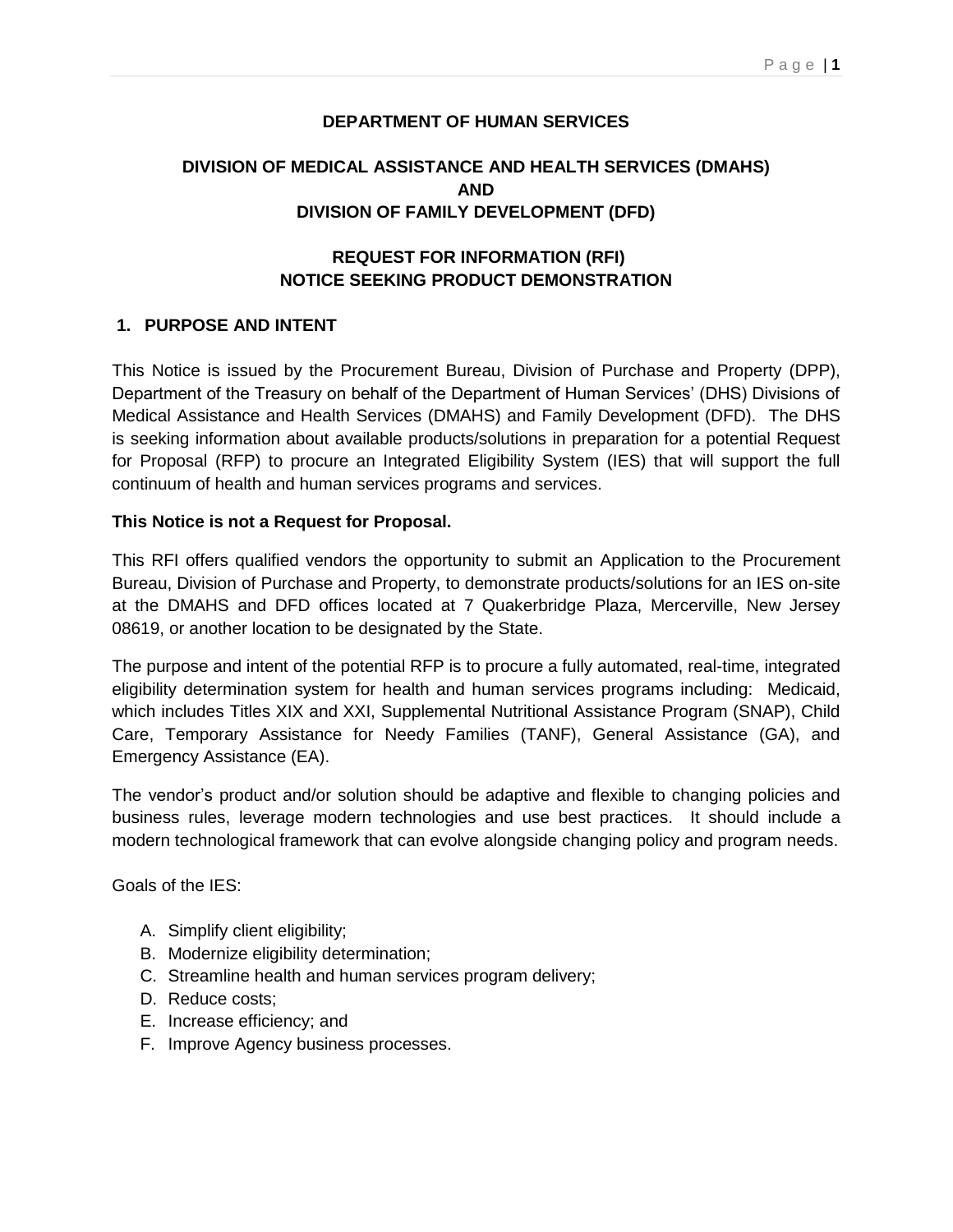### **DEPARTMENT OF HUMAN SERVICES**

# **DIVISION OF MEDICAL ASSISTANCE AND HEALTH SERVICES (DMAHS) AND DIVISION OF FAMILY DEVELOPMENT (DFD)**

## **REQUEST FOR INFORMATION (RFI) NOTICE SEEKING PRODUCT DEMONSTRATION**

### **1. PURPOSE AND INTENT**

This Notice is issued by the Procurement Bureau, Division of Purchase and Property (DPP), Department of the Treasury on behalf of the Department of Human Services' (DHS) Divisions of Medical Assistance and Health Services (DMAHS) and Family Development (DFD). The DHS is seeking information about available products/solutions in preparation for a potential Request for Proposal (RFP) to procure an Integrated Eligibility System (IES) that will support the full continuum of health and human services programs and services.

#### **This Notice is not a Request for Proposal.**

This RFI offers qualified vendors the opportunity to submit an Application to the Procurement Bureau, Division of Purchase and Property, to demonstrate products/solutions for an IES on-site at the DMAHS and DFD offices located at 7 Quakerbridge Plaza, Mercerville, New Jersey 08619, or another location to be designated by the State.

The purpose and intent of the potential RFP is to procure a fully automated, real-time, integrated eligibility determination system for health and human services programs including: Medicaid, which includes Titles XIX and XXI, Supplemental Nutritional Assistance Program (SNAP), Child Care, Temporary Assistance for Needy Families (TANF), General Assistance (GA), and Emergency Assistance (EA).

The vendor's product and/or solution should be adaptive and flexible to changing policies and business rules, leverage modern technologies and use best practices. It should include a modern technological framework that can evolve alongside changing policy and program needs.

Goals of the IES:

- A. Simplify client eligibility;
- B. Modernize eligibility determination;
- C. Streamline health and human services program delivery;
- D. Reduce costs;
- E. Increase efficiency; and
- F. Improve Agency business processes.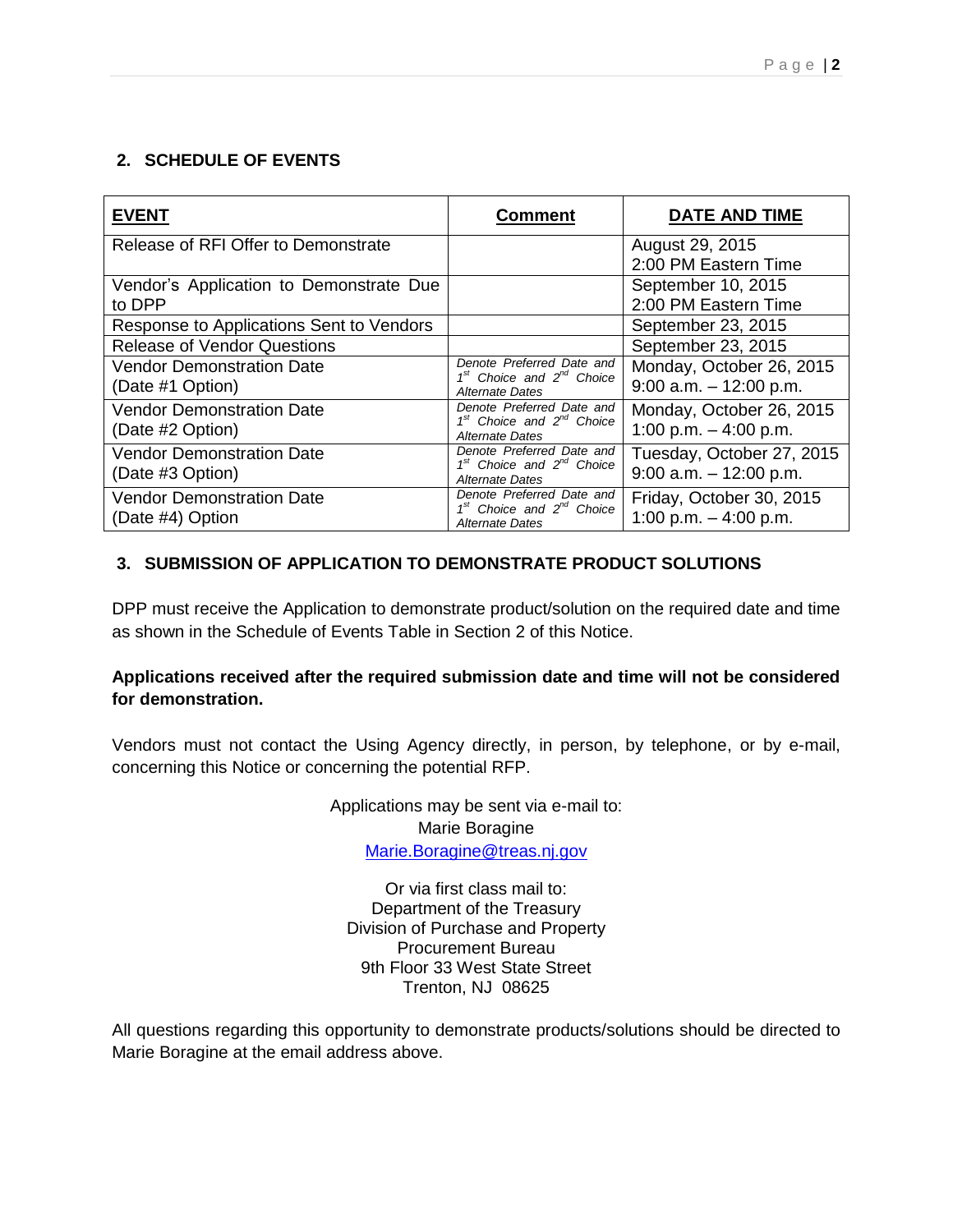## **2. SCHEDULE OF EVENTS**

| <b>EVENT</b>                                         | Comment                                                                              | <b>DATE AND TIME</b>                                   |
|------------------------------------------------------|--------------------------------------------------------------------------------------|--------------------------------------------------------|
| Release of RFI Offer to Demonstrate                  |                                                                                      | August 29, 2015<br>2:00 PM Eastern Time                |
| Vendor's Application to Demonstrate Due<br>to DPP    |                                                                                      | September 10, 2015<br>2:00 PM Eastern Time             |
| Response to Applications Sent to Vendors             |                                                                                      | September 23, 2015                                     |
| <b>Release of Vendor Questions</b>                   |                                                                                      | September 23, 2015                                     |
| <b>Vendor Demonstration Date</b><br>(Date #1 Option) | Denote Preferred Date and<br>$1st$ Choice and $2nd$ Choice<br>Alternate Dates        | Monday, October 26, 2015<br>$9:00$ a.m. $-12:00$ p.m.  |
| <b>Vendor Demonstration Date</b><br>(Date #2 Option) | Denote Preferred Date and<br>$1st$ Choice and $2nd$ Choice<br>Alternate Dates        | Monday, October 26, 2015<br>1:00 p.m. $-$ 4:00 p.m.    |
| <b>Vendor Demonstration Date</b><br>(Date #3 Option) | Denote Preferred Date and<br>$1st$ Choice and $2nd$ Choice<br>Alternate Dates        | Tuesday, October 27, 2015<br>$9:00$ a.m. $-12:00$ p.m. |
| <b>Vendor Demonstration Date</b><br>(Date #4) Option | Denote Preferred Date and<br>$1st$ Choice and $2nd$ Choice<br><b>Alternate Dates</b> | Friday, October 30, 2015<br>1:00 p.m. $-$ 4:00 p.m.    |

# **3. SUBMISSION OF APPLICATION TO DEMONSTRATE PRODUCT SOLUTIONS**

DPP must receive the Application to demonstrate product/solution on the required date and time as shown in the Schedule of Events Table in Section 2 of this Notice.

# **Applications received after the required submission date and time will not be considered for demonstration.**

Vendors must not contact the Using Agency directly, in person, by telephone, or by e-mail, concerning this Notice or concerning the potential RFP.

> Applications may be sent via e-mail to: Marie Boragine [Marie.Boragine@treas.nj.gov](mailto:Marie.Boragine@treas.nj.gov)

Or via first class mail to: Department of the Treasury Division of Purchase and Property Procurement Bureau 9th Floor 33 West State Street Trenton, NJ 08625

All questions regarding this opportunity to demonstrate products/solutions should be directed to Marie Boragine at the email address above.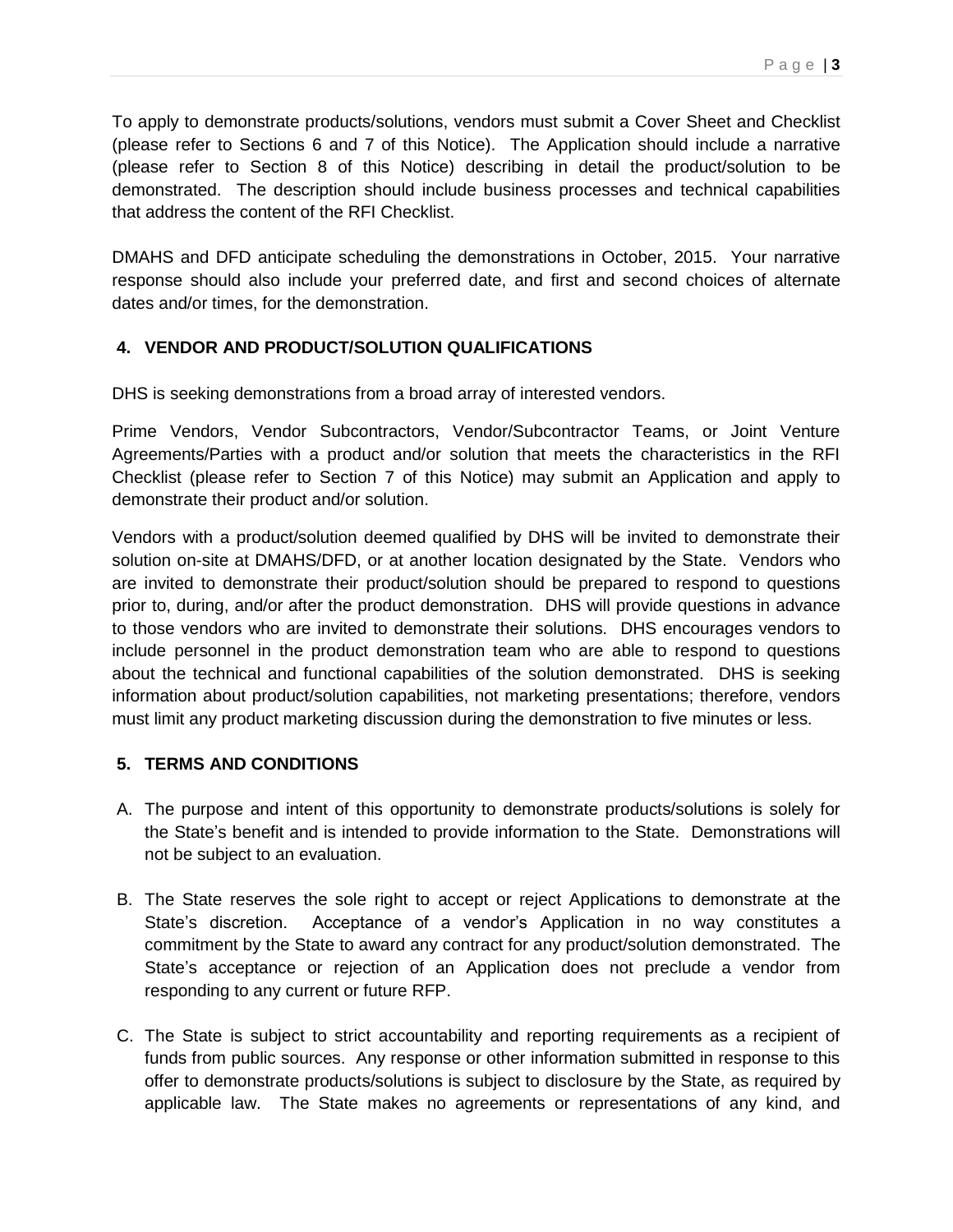To apply to demonstrate products/solutions, vendors must submit a Cover Sheet and Checklist (please refer to Sections 6 and 7 of this Notice). The Application should include a narrative (please refer to Section 8 of this Notice) describing in detail the product/solution to be demonstrated. The description should include business processes and technical capabilities that address the content of the RFI Checklist.

DMAHS and DFD anticipate scheduling the demonstrations in October, 2015. Your narrative response should also include your preferred date, and first and second choices of alternate dates and/or times, for the demonstration.

## **4. VENDOR AND PRODUCT/SOLUTION QUALIFICATIONS**

DHS is seeking demonstrations from a broad array of interested vendors.

Prime Vendors, Vendor Subcontractors, Vendor/Subcontractor Teams, or Joint Venture Agreements/Parties with a product and/or solution that meets the characteristics in the RFI Checklist (please refer to Section 7 of this Notice) may submit an Application and apply to demonstrate their product and/or solution.

Vendors with a product/solution deemed qualified by DHS will be invited to demonstrate their solution on-site at DMAHS/DFD, or at another location designated by the State. Vendors who are invited to demonstrate their product/solution should be prepared to respond to questions prior to, during, and/or after the product demonstration. DHS will provide questions in advance to those vendors who are invited to demonstrate their solutions. DHS encourages vendors to include personnel in the product demonstration team who are able to respond to questions about the technical and functional capabilities of the solution demonstrated. DHS is seeking information about product/solution capabilities, not marketing presentations; therefore, vendors must limit any product marketing discussion during the demonstration to five minutes or less.

### **5. TERMS AND CONDITIONS**

- A. The purpose and intent of this opportunity to demonstrate products/solutions is solely for the State's benefit and is intended to provide information to the State. Demonstrations will not be subject to an evaluation.
- B. The State reserves the sole right to accept or reject Applications to demonstrate at the State's discretion. Acceptance of a vendor's Application in no way constitutes a commitment by the State to award any contract for any product/solution demonstrated. The State's acceptance or rejection of an Application does not preclude a vendor from responding to any current or future RFP.
- C. The State is subject to strict accountability and reporting requirements as a recipient of funds from public sources. Any response or other information submitted in response to this offer to demonstrate products/solutions is subject to disclosure by the State, as required by applicable law. The State makes no agreements or representations of any kind, and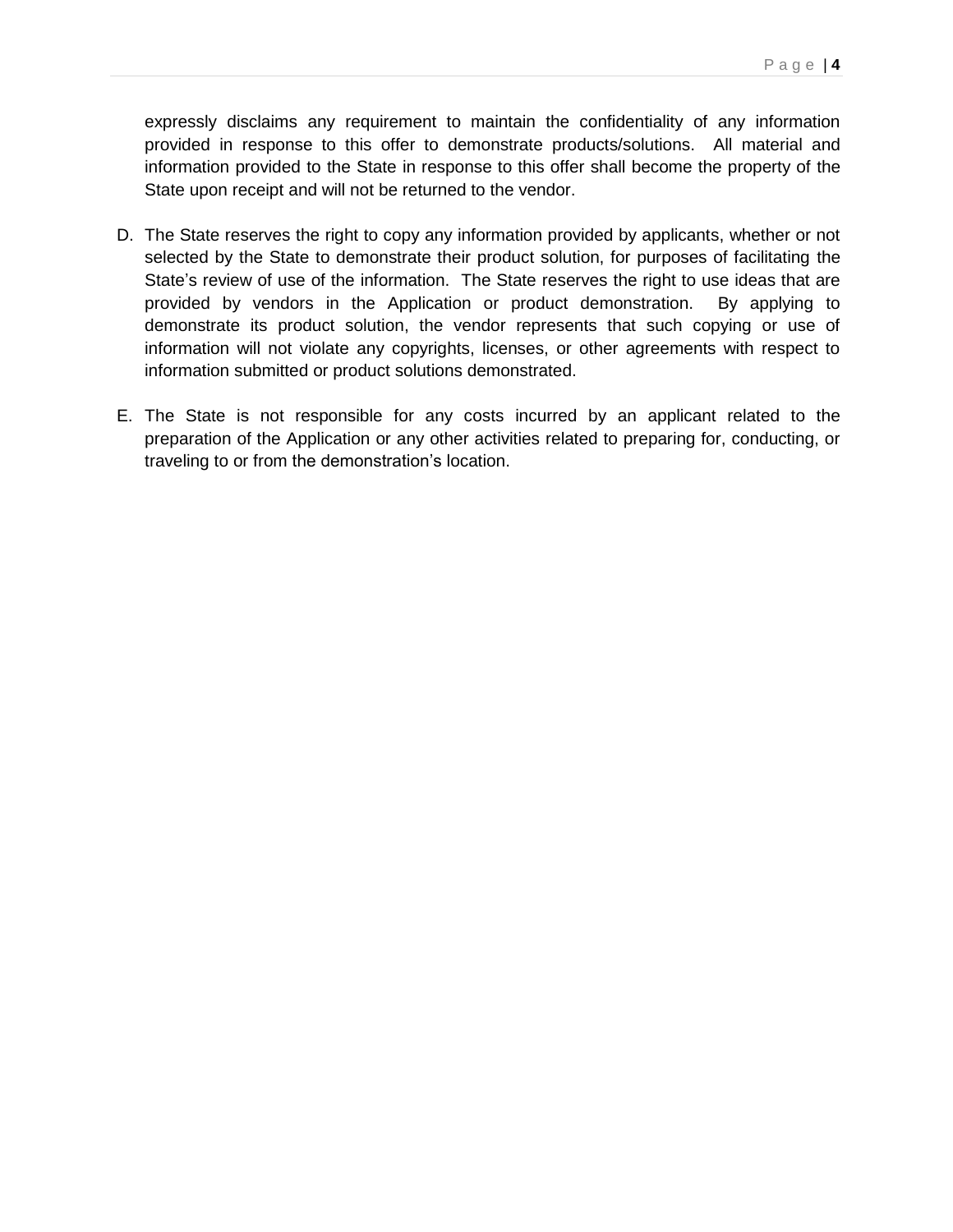expressly disclaims any requirement to maintain the confidentiality of any information provided in response to this offer to demonstrate products/solutions. All material and information provided to the State in response to this offer shall become the property of the State upon receipt and will not be returned to the vendor.

- D. The State reserves the right to copy any information provided by applicants, whether or not selected by the State to demonstrate their product solution, for purposes of facilitating the State's review of use of the information. The State reserves the right to use ideas that are provided by vendors in the Application or product demonstration. By applying to demonstrate its product solution, the vendor represents that such copying or use of information will not violate any copyrights, licenses, or other agreements with respect to information submitted or product solutions demonstrated.
- E. The State is not responsible for any costs incurred by an applicant related to the preparation of the Application or any other activities related to preparing for, conducting, or traveling to or from the demonstration's location.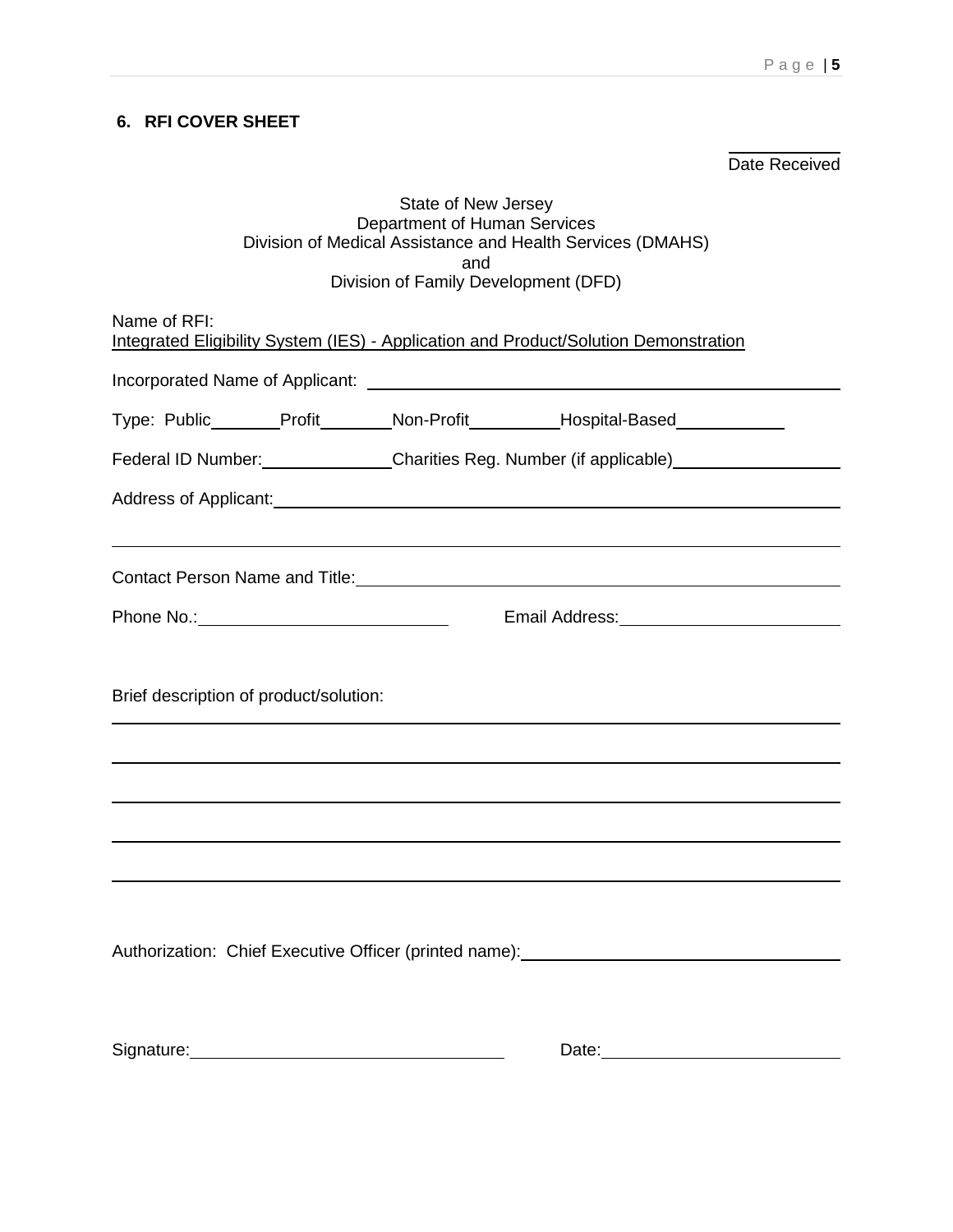## **6. RFI COVER SHEET**

Date Received

#### State of New Jersey Department of Human Services Division of Medical Assistance and Health Services (DMAHS) and Division of Family Development (DFD)

Name of RFI:

| Name of RFI:<br>Integrated Eligibility System (IES) - Application and Product/Solution Demonstration |                                                          |  |                                                                                                                                                                                                                                |  |
|------------------------------------------------------------------------------------------------------|----------------------------------------------------------|--|--------------------------------------------------------------------------------------------------------------------------------------------------------------------------------------------------------------------------------|--|
|                                                                                                      |                                                          |  | Incorporated Name of Applicant: Name of Applicant Applicant Applicant Applicant Applicant Applicant Applicant Applicant Applicant Applicant Applicant Applicant Applicant Applicant Applicant Applicant Applicant Applicant Ap |  |
|                                                                                                      |                                                          |  | Type: Public_______Profit_______Non-Profit_________Hospital-Based_____________                                                                                                                                                 |  |
|                                                                                                      | Federal ID Number: Charities Reg. Number (if applicable) |  |                                                                                                                                                                                                                                |  |
|                                                                                                      |                                                          |  |                                                                                                                                                                                                                                |  |
|                                                                                                      |                                                          |  |                                                                                                                                                                                                                                |  |
|                                                                                                      |                                                          |  | Contact Person Name and Title:<br><u> Contact Person Name and Title:</u>                                                                                                                                                       |  |
|                                                                                                      |                                                          |  |                                                                                                                                                                                                                                |  |
|                                                                                                      |                                                          |  |                                                                                                                                                                                                                                |  |
| Brief description of product/solution:                                                               |                                                          |  |                                                                                                                                                                                                                                |  |
|                                                                                                      |                                                          |  |                                                                                                                                                                                                                                |  |
|                                                                                                      |                                                          |  | ,我们也不会有什么。""我们的人,我们也不会有什么?""我们的人,我们也不会有什么?""我们的人,我们也不会有什么?""我们的人,我们也不会有什么?""我们的人                                                                                                                                               |  |
|                                                                                                      |                                                          |  |                                                                                                                                                                                                                                |  |
|                                                                                                      |                                                          |  |                                                                                                                                                                                                                                |  |
|                                                                                                      |                                                          |  |                                                                                                                                                                                                                                |  |
|                                                                                                      |                                                          |  | Authorization: Chief Executive Officer (printed name): __________________________                                                                                                                                              |  |
|                                                                                                      |                                                          |  |                                                                                                                                                                                                                                |  |
|                                                                                                      |                                                          |  |                                                                                                                                                                                                                                |  |
| Signature: Management Communication of the Signature:                                                |                                                          |  | Date: 2008                                                                                                                                                                                                                     |  |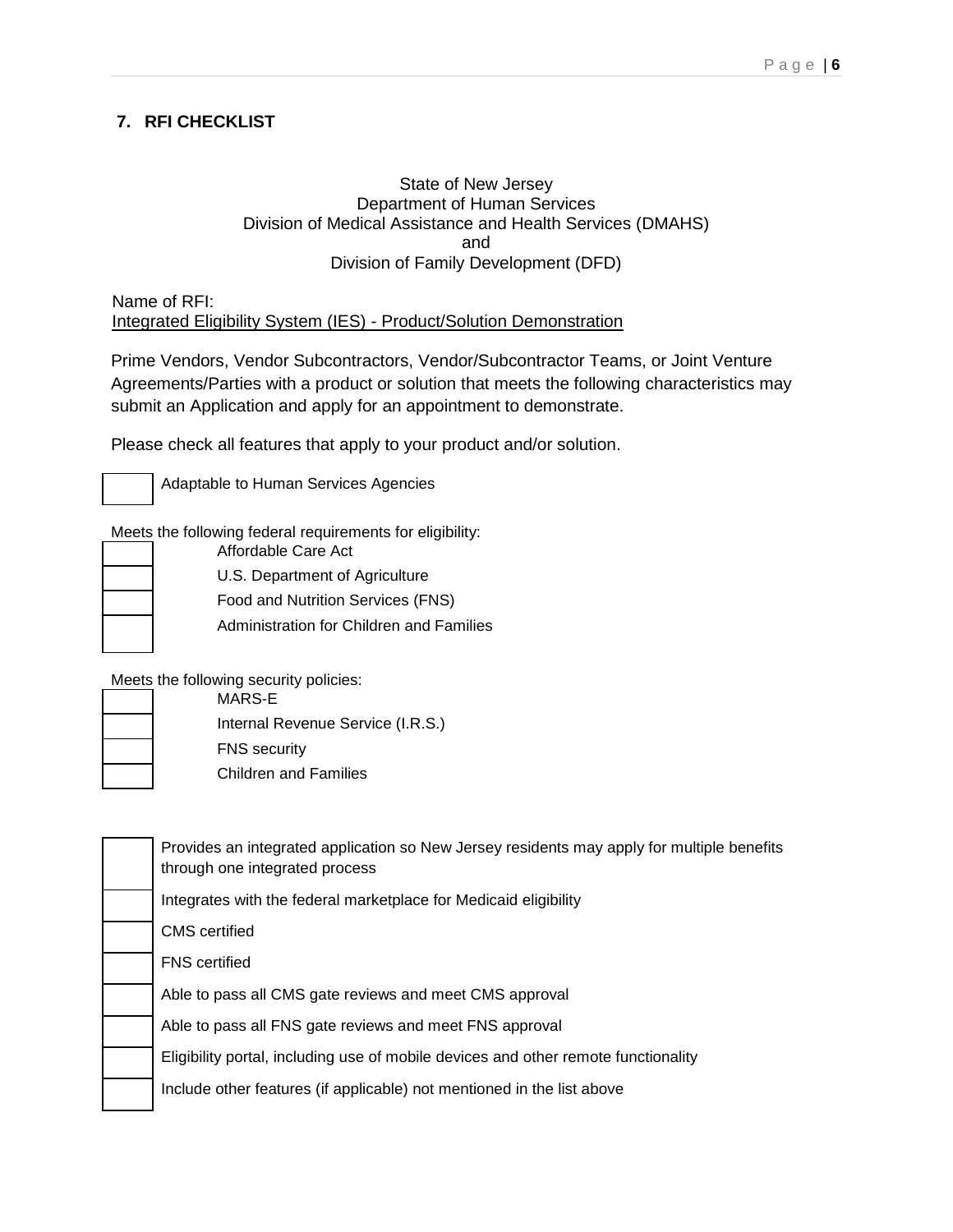## **7. RFI CHECKLIST**

#### State of New Jersey Department of Human Services Division of Medical Assistance and Health Services (DMAHS) and Division of Family Development (DFD)

Name of RFI: Integrated Eligibility System (IES) - Product/Solution Demonstration

Prime Vendors, Vendor Subcontractors, Vendor/Subcontractor Teams, or Joint Venture Agreements/Parties with a product or solution that meets the following characteristics may submit an Application and apply for an appointment to demonstrate.

Please check all features that apply to your product and/or solution.



Adaptable to Human Services Agencies

Meets the following federal requirements for eligibility: Affordable Care Act

U.S. Department of Agriculture Food and Nutrition Services (FNS) Administration for Children and Families

Meets the following security policies:

MARS-E Internal Revenue Service (I.R.S.) FNS security

Children and Families

| Provides an integrated application so New Jersey residents may apply for multiple benefits<br>through one integrated process |
|------------------------------------------------------------------------------------------------------------------------------|
| Integrates with the federal marketplace for Medicaid eligibility                                                             |
| <b>CMS</b> certified                                                                                                         |
| <b>FNS</b> certified                                                                                                         |
| Able to pass all CMS gate reviews and meet CMS approval                                                                      |
| Able to pass all FNS gate reviews and meet FNS approval                                                                      |
| Eligibility portal, including use of mobile devices and other remote functionality                                           |
| Include other features (if applicable) not mentioned in the list above                                                       |
|                                                                                                                              |